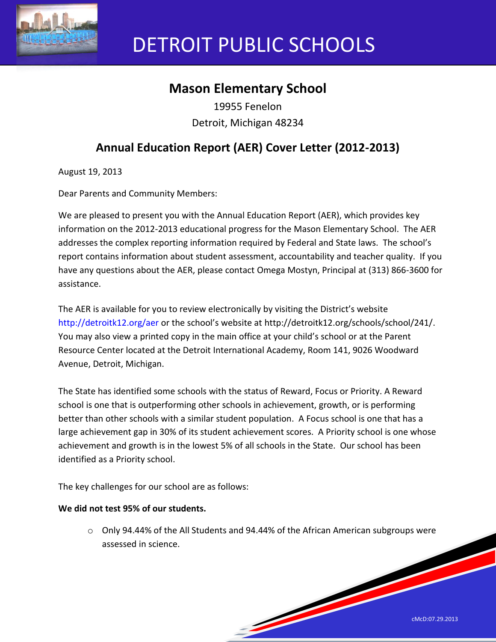

# DETROIT PUBLIC SCHOOLS

## **Mason Elementary School**

19955 Fenelon Detroit, Michigan 48234

### **Annual Education Report (AER) Cover Letter (2012-2013)**

August 19, 2013

Dear Parents and Community Members:

We are pleased to present you with the Annual Education Report (AER), which provides key information on the 2012-2013 educational progress for the Mason Elementary School. The AER addresses the complex reporting information required by Federal and State laws. The school's report contains information about student assessment, accountability and teacher quality. If you have any questions about the AER, please contact Omega Mostyn, Principal at (313) 866-3600 for assistance.

The AER is available for you to review electronically by visiting the District's website http://detroitk12.org/aer or the school's website at http://detroitk12.org/schools/school/241/. You may also view a printed copy in the main office at your child's school or at the Parent Resource Center located at the Detroit International Academy, Room 141, 9026 Woodward Avenue, Detroit, Michigan.

The State has identified some schools with the status of Reward, Focus or Priority. A Reward school is one that is outperforming other schools in achievement, growth, or is performing better than other schools with a similar student population. A Focus school is one that has a large achievement gap in 30% of its student achievement scores. A Priority school is one whose achievement and growth is in the lowest 5% of all schools in the State. Our school has been identified as a Priority school.

The key challenges for our school are as follows:

### **We did not test 95% of our students.**

o Only 94.44% of the All Students and 94.44% of the African American subgroups were assessed in science.

**South Contract Contract Contract Contract Contract Contract Contract Contract Contract Contract Contract Contract Contract Contract Contract Contract Contract Contract Contract Contract Contract Contract Contract Contract** 

cMcD:07.29.2013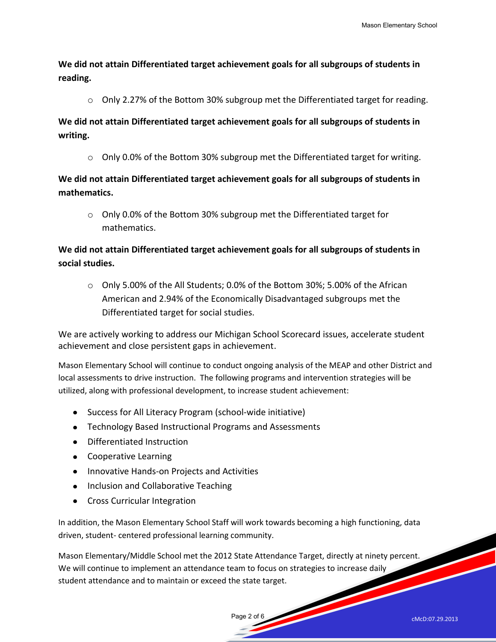**We did not attain Differentiated target achievement goals for all subgroups of students in reading.** 

o Only 2.27% of the Bottom 30% subgroup met the Differentiated target for reading.

**We did not attain Differentiated target achievement goals for all subgroups of students in writing.** 

 $\circ$  Only 0.0% of the Bottom 30% subgroup met the Differentiated target for writing.

**We did not attain Differentiated target achievement goals for all subgroups of students in mathematics.** 

o Only 0.0% of the Bottom 30% subgroup met the Differentiated target for mathematics.

### **We did not attain Differentiated target achievement goals for all subgroups of students in social studies.**

o Only 5.00% of the All Students; 0.0% of the Bottom 30%; 5.00% of the African American and 2.94% of the Economically Disadvantaged subgroups met the Differentiated target for social studies.

We are actively working to address our Michigan School Scorecard issues, accelerate student achievement and close persistent gaps in achievement.

Mason Elementary School will continue to conduct ongoing analysis of the MEAP and other District and local assessments to drive instruction. The following programs and intervention strategies will be utilized, along with professional development, to increase student achievement:

- Success for All Literacy Program (school-wide initiative)
- Technology Based Instructional Programs and Assessments
- Differentiated Instruction
- Cooperative Learning
- **Innovative Hands-on Projects and Activities**
- Inclusion and Collaborative Teaching
- Cross Curricular Integration

In addition, the Mason Elementary School Staff will work towards becoming a high functioning, data driven, student- centered professional learning community.

Mason Elementary/Middle School met the 2012 State Attendance Target, directly at ninety percent. We will continue to implement an attendance team to focus on strategies to increase daily student attendance and to maintain or exceed the state target.



cMcD:07.29.2013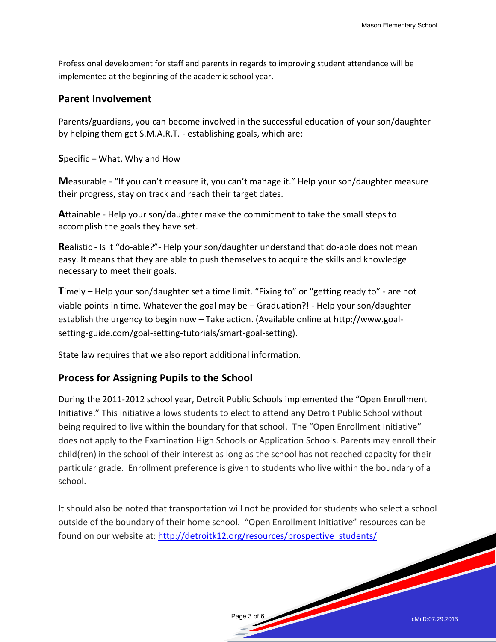Professional development for staff and parents in regards to improving student attendance will be implemented at the beginning of the academic school year.

#### **Parent Involvement**

Parents/guardians, you can become involved in the successful education of your son/daughter by helping them get S.M.A.R.T. - establishing goals, which are:

**S**pecific – What, Why and How

**M**easurable - "If you can't measure it, you can't manage it." Help your son/daughter measure their progress, stay on track and reach their target dates.

**A**ttainable - Help your son/daughter make the commitment to take the small steps to accomplish the goals they have set.

**R**ealistic - Is it "do-able?"- Help your son/daughter understand that do-able does not mean easy. It means that they are able to push themselves to acquire the skills and knowledge necessary to meet their goals.

**T**imely – Help your son/daughter set a time limit. "Fixing to" or "getting ready to" - are not viable points in time. Whatever the goal may be – Graduation?! - Help your son/daughter establish the urgency to begin now – Take action. (Available online at http://www.goalsetting-guide.com/goal-setting-tutorials/smart-goal-setting).

State law requires that we also report additional information.

### **Process for Assigning Pupils to the School**

During the 2011-2012 school year, Detroit Public Schools implemented the "Open Enrollment Initiative." This initiative allows students to elect to attend any Detroit Public School without being required to live within the boundary for that school. The "Open Enrollment Initiative" does not apply to the Examination High Schools or Application Schools. Parents may enroll their child(ren) in the school of their interest as long as the school has not reached capacity for their particular grade. Enrollment preference is given to students who live within the boundary of a school.

It should also be noted that transportation will not be provided for students who select a school outside of the boundary of their home school. "Open Enrollment Initiative" resources can be found on our website at: http://detroitk12.org/resources/prospective\_students/

Page 3 of 6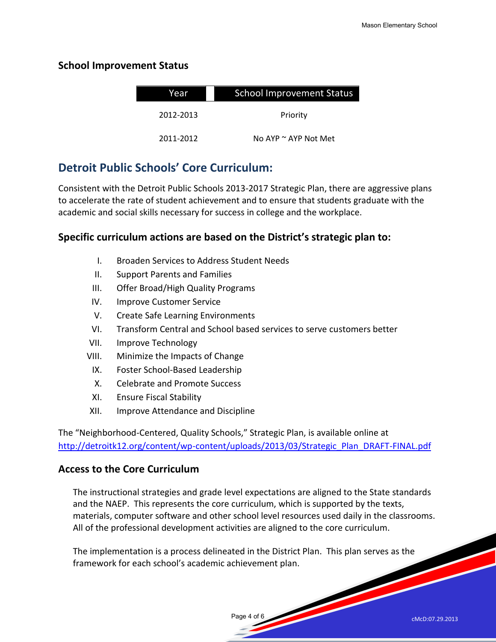### **School Improvement Status**

| Year      | <b>School Improvement Status</b> |  |
|-----------|----------------------------------|--|
| 2012-2013 | Priority                         |  |
| 2011-2012 | No AYP $\sim$ AYP Not Met        |  |

### **Detroit Public Schools' Core Curriculum:**

Consistent with the Detroit Public Schools 2013-2017 Strategic Plan, there are aggressive plans to accelerate the rate of student achievement and to ensure that students graduate with the academic and social skills necessary for success in college and the workplace.

### **Specific curriculum actions are based on the District's strategic plan to:**

- I. Broaden Services to Address Student Needs
- II. Support Parents and Families
- III. Offer Broad/High Quality Programs
- IV. Improve Customer Service
- V. Create Safe Learning Environments
- VI. Transform Central and School based services to serve customers better
- VII. Improve Technology
- VIII. Minimize the Impacts of Change
	- IX. Foster School-Based Leadership
	- X. Celebrate and Promote Success
	- XI. Ensure Fiscal Stability
- XII. Improve Attendance and Discipline

The "Neighborhood-Centered, Quality Schools," Strategic Plan, is available online at http://detroitk12.org/content/wp-content/uploads/2013/03/Strategic\_Plan\_DRAFT-FINAL.pdf

### **Access to the Core Curriculum**

The instructional strategies and grade level expectations are aligned to the State standards and the NAEP. This represents the core curriculum, which is supported by the texts, materials, computer software and other school level resources used daily in the classrooms. All of the professional development activities are aligned to the core curriculum.

Page 4 of 6

The implementation is a process delineated in the District Plan. This plan serves as the framework for each school's academic achievement plan.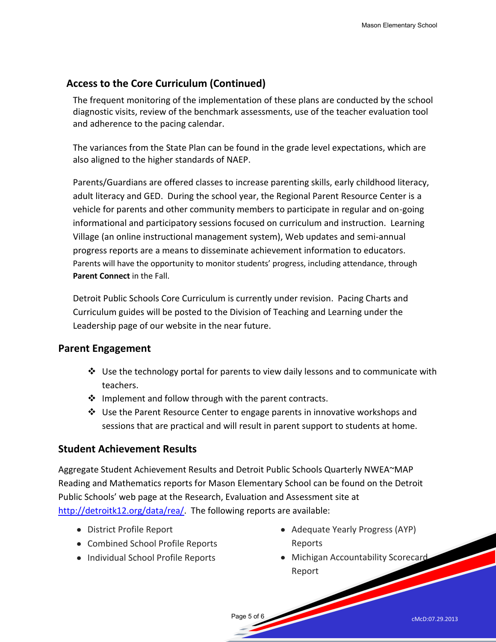### **Access to the Core Curriculum (Continued)**

The frequent monitoring of the implementation of these plans are conducted by the school diagnostic visits, review of the benchmark assessments, use of the teacher evaluation tool and adherence to the pacing calendar.

The variances from the State Plan can be found in the grade level expectations, which are also aligned to the higher standards of NAEP.

Parents/Guardians are offered classes to increase parenting skills, early childhood literacy, adult literacy and GED. During the school year, the Regional Parent Resource Center is a vehicle for parents and other community members to participate in regular and on-going informational and participatory sessions focused on curriculum and instruction. Learning Village (an online instructional management system), Web updates and semi-annual progress reports are a means to disseminate achievement information to educators. Parents will have the opportunity to monitor students' progress, including attendance, through **Parent Connect** in the Fall.

Detroit Public Schools Core Curriculum is currently under revision. Pacing Charts and Curriculum guides will be posted to the Division of Teaching and Learning under the Leadership page of our website in the near future.

### **Parent Engagement**

- $\clubsuit$  Use the technology portal for parents to view daily lessons and to communicate with teachers.
- $\cdot \cdot$  Implement and follow through with the parent contracts.
- $\div$  Use the Parent Resource Center to engage parents in innovative workshops and sessions that are practical and will result in parent support to students at home.

### **Student Achievement Results**

Aggregate Student Achievement Results and Detroit Public Schools Quarterly NWEA~MAP Reading and Mathematics reports for Mason Elementary School can be found on the Detroit Public Schools' web page at the Research, Evaluation and Assessment site at http://detroitk12.org/data/rea/. The following reports are available:

- District Profile Report
- Combined School Profile Reports
- Individual School Profile Reports
- Adequate Yearly Progress (AYP) Reports
- Michigan Accountability Scorecard Report